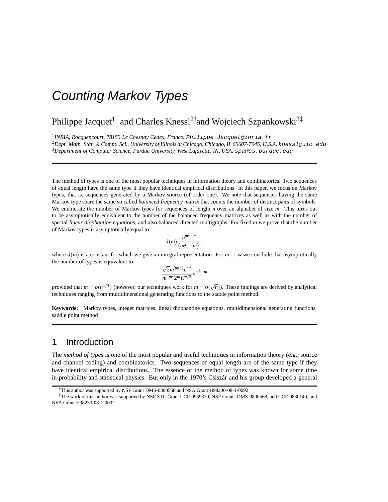## Philippe Jacquet<sup>1</sup> and Charles Knessl<sup>2†</sup>and Wojciech Szpankowski<sup>3‡</sup>

1 *INRIA, Rocquencourt, 78153 Le Chesnay Cedex, France.* Philippe.Jacquet@inria.fr

<sup>2</sup>*Dept. Math. Stat. & Compt. Sci., University of Illinois at Chicago, Chicago, IL 60607-7045, U.S.A.* knessl@uic.edu <sup>3</sup>*Department of Computer Science, Purdue University, West Lafayette, IN, USA.* spa@cs.purdue.edu

The method of types is one of the most popular techniques in information theory and combinatorics. Two sequences of equal length have the same type if they have identical empirical distributions. In this paper, we focus on Markov types, that is, sequences generated by a Markov source (of order one). We note that sequences having the same Markov type share the same so called *balanced frequency matrix* that counts the number of distinct pairs of symbols. We enumerate the number of Markov types for sequences of length *n* over an alphabet of size *m*. This turns out to be asymptotically equivalent to the number of the balanced frequency matrices as well as with the number of special *linear diophantine equations*, and also balanced directed multigraphs. For fixed *m* we prove that the number of Markov types is asymptotically equal to

$$
d(m)\frac{n^{m^2-m}}{(m^2-m)!},
$$

where  $d(m)$  is a constant for which we give an integral representation. For  $m \to \infty$  we conclude that asymptotically the number of types is equivalent to

$$
\frac{\sqrt{2}m^{3m/2}e^{m^2}}{m^{2m^2}2^m\pi^{m/2}}n^{m^2-m}
$$

provided that  $m = o(n^{1/4})$  (however, our techniques work for  $m = o(\sqrt{n})$ ). These findings are derived by analytical techniques ranging from multidimensional generating functions to the saddle point method.

**Keywords:** Markov types, integer matrices, linear diophantine equations, multidimensional generating functions, saddle point method

## 1 Introduction

The *method of types* is one of the most popular and useful techniques in information theory (e.g., source and channel coding) and combinatorics. Two sequences of equal length are of the same type if they have identical empirical distributions. The essence of the method of types was known for some time in probability and statistical physics. But only in the 1970's Csiszar and his group developed a general

<sup>†</sup>This author was supported by NSF Grant DMS-0800568 and NSA Grant H98230-08-1-0092

<sup>‡</sup>The work of this author was supported by NSF STC Grant CCF-0939370, NSF Grants DMS-0800568, and CCF-0830140, and NSA Grant H98230-08-1-0092.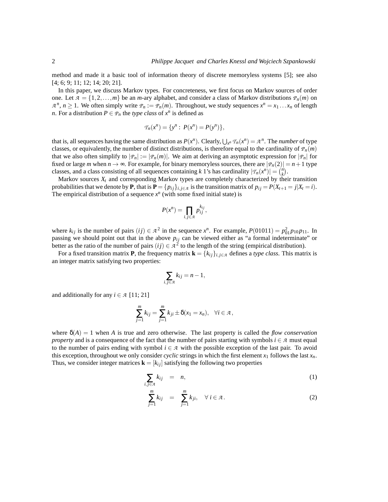method and made it a basic tool of information theory of discrete memoryless systems [5]; see also [4; 6; 9; 11; 12; 14; 20; 21].

In this paper, we discuss Markov types. For concreteness, we first focus on Markov sources of order one. Let  $\mathcal{A} = \{1, 2, ..., m\}$  be an *m*-ary alphabet, and consider a class of Markov distributions  $\mathcal{P}_n(m)$  on  $A^n, n \ge 1$ . We often simply write  $P_n := P_n(m)$ . Throughout, we study sequences  $x^n = x_1 \dots x_n$  of length *n*. For a distribution  $P \in \mathcal{P}_n$  the *type class* of  $x^n$  is defined as

$$
T_n(x^n) = \{y^n : P(x^n) = P(y^n)\},\
$$

that is, all sequences having the same distribution as  $P(x^n)$ . Clearly,  $\bigcup_{x^n} T_n(x^n) = A^n$ . The *number* of type classes, or equivalently, the number of distinct distributions, is therefore equal to the cardinality of  $P_n(m)$ that we also often simplify to  $|\varphi_n| := |\varphi_n(m)|$ . We aim at deriving an asymptotic expression for  $|\varphi_n|$  for fixed or large *m* when  $n \to \infty$ . For example, for binary memoryless sources, there are  $|P_n(2)| = n + 1$  type classes, and a class consisting of all sequences containing *k* 1's has cardinality  $|\mathcal{T}_n(x^n)| = \binom{n}{k}$ .

Markov sources *X<sup>t</sup>* and corresponding Markov types are completely characterized by their transition probabilities that we denote by **P**, that is  $P = \{p_{ij}\}_{i,j \in \mathcal{A}}$  is the transition matrix of  $p_{ij} = P(X_{t+1} = j | X_t = i)$ . The empirical distribution of a sequence  $x^n$  (with some fixed initial state) is

$$
P(x^n) = \prod_{i,j \in \mathcal{A}} p_{ij}^{k_{ij}},
$$

where  $k_{ij}$  is the number of pairs  $(ij) \in \mathcal{A}^2$  in the sequence  $x^n$ . For example,  $P(01011) = p_{01}^2 p_{10} p_{11}$ . In passing we should point out that in the above  $p_{ij}$  can be viewed either as "a formal indeterminate" or better as the ratio of the number of pairs  $(ij) \in A^2$  to the length of the string (empirical distribution).

For a fixed transition matrix **P**, the frequency matrix  $\mathbf{k} = \{k_{ij}\}_{i,j \in \mathcal{A}}$  defines a *type class*. This matrix is an integer matrix satisfying two properties:

$$
\sum_{i,j\in\mathcal{A}}k_{ij}=n-1,
$$

and additionally for any  $i \in \mathcal{A}$  [11; 21]

$$
\sum_{j=1}^m k_{ij} = \sum_{j=1}^m k_{ji} \pm \delta(x_1 = x_n), \quad \forall i \in \mathcal{A},
$$

where  $\delta(A) = 1$  when A is true and zero otherwise. The last property is called the *flow conservation property* and is a consequence of the fact that the number of pairs starting with symbols  $i \in \mathcal{A}$  must equal to the number of pairs ending with symbol  $i \in \mathcal{A}$  with the possible exception of the last pair. To avoid this exception, throughout we only consider *cyclic* strings in which the first element  $x_1$  follows the last  $x_n$ . Thus, we consider integer matrices  $\mathbf{k} = [k_{ij}]$  satisfying the following two properties

$$
\sum_{i,j\in\mathcal{A}}k_{ij} = n,\tag{1}
$$

$$
\sum_{j=1}^{m} k_{ij} = \sum_{j=1}^{m} k_{ji}, \quad \forall i \in \mathcal{A}.
$$
 (2)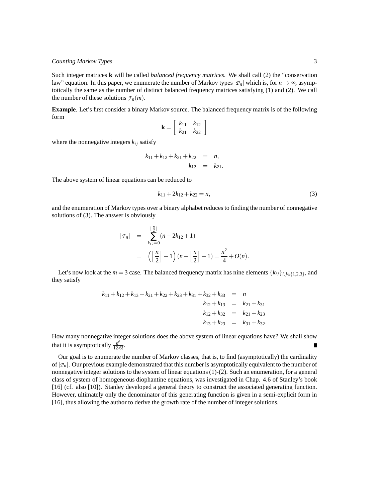Such integer matrices **k** will be called *balanced frequency matrices*. We shall call (2) the "conservation law" equation. In this paper, we enumerate the number of Markov types  $|p_n|$  which is, for  $n \to \infty$ , asymptotically the same as the number of distinct balanced frequency matrices satisfying (1) and (2). We call the number of these solutions  $\mathcal{F}_n(m)$ .

**Example**. Let's first consider a binary Markov source. The balanced frequency matrix is of the following form

$$
\mathbf{k} = \left[ \begin{array}{cc} k_{11} & k_{12} \\ k_{21} & k_{22} \end{array} \right]
$$

where the nonnegative integers  $k_{ij}$  satisfy

$$
k_{11} + k_{12} + k_{21} + k_{22} = n,
$$
  

$$
k_{12} = k_{21}.
$$

The above system of linear equations can be reduced to

$$
k_{11} + 2k_{12} + k_{22} = n,\t\t(3)
$$

and the enumeration of Markov types over a binary alphabet reduces to finding the number of nonnegative solutions of (3). The answer is obviously

$$
|\mathcal{F}_n| = \sum_{k_{12}=0}^{\lfloor \frac{n}{2} \rfloor} (n - 2k_{12} + 1)
$$
  
=  $\left( \left\lfloor \frac{n}{2} \right\rfloor + 1 \right) (n - \left\lfloor \frac{n}{2} \right\rfloor + 1) = \frac{n^2}{4} + O(n).$ 

Let's now look at the  $m = 3$  case. The balanced frequency matrix has nine elements  $\{k_{ij}\}_{i,j \in \{1,2,3\}}$ , and they satisfy

$$
k_{11} + k_{12} + k_{13} + k_{21} + k_{22} + k_{23} + k_{31} + k_{32} + k_{33} = n
$$
  
\n
$$
k_{12} + k_{13} = k_{21} + k_{31}
$$
  
\n
$$
k_{12} + k_{32} = k_{21} + k_{23}
$$
  
\n
$$
k_{13} + k_{23} = k_{31} + k_{32}.
$$

How many nonnegative integer solutions does the above system of linear equations have? We shall show that it is asymptotically  $\frac{n^6}{12 \cdot 6!}$ .

Our goal is to enumerate the number of Markov classes, that is, to find (asymptotically) the cardinality of  $|P_n|$ . Our previous example demonstrated that this number is asymptotically equivalent to the number of nonnegative integer solutions to the system of linear equations (1)-(2). Such an enumeration, for a general class of system of homogeneous diophantine equations, was investigated in Chap. 4.6 of Stanley's book [16] (cf. also [10]). Stanley developed a general theory to construct the associated generating function. However, ultimately only the denominator of this generating function is given in a semi-explicit form in [16], thus allowing the author to derive the growth rate of the number of integer solutions.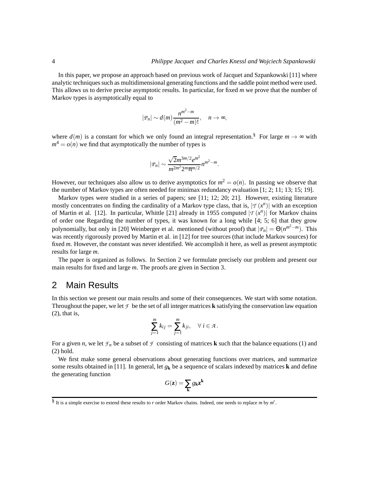In this paper, we propose an approach based on previous work of Jacquet and Szpankowski [11] where analytic techniques such as multidimensional generating functions and the saddle point method were used. This allows us to derive precise asymptotic results. In particular, for fixed *m* we prove that the number of Markov types is asymptotically equal to

$$
|P_n| \sim d(m) \frac{n^{m^2-m}}{(m^2-m)!}, \quad n \to \infty,
$$

where  $d(m)$  is a constant for which we only found an integral representation.<sup>§</sup> For large  $m \to \infty$  with  $m^4 = o(n)$  we find that asymptotically the number of types is

$$
|P_n| \sim \frac{\sqrt{2}m^{3m/2}e^{m^2}}{m^{2m^2}2^m\pi^{m/2}}n^{m^2-m}
$$

.

However, our techniques also allow us to derive asymptotics for  $m^2 = o(n)$ . In passing we observe that the number of Markov types are often needed for minimax redundancy evaluation [1; 2; 11; 13; 15; 19].

Markov types were studied in a series of papers; see [11; 12; 20; 21]. However, existing literature mostly concentrates on finding the cardinality of a Markov type class, that is,  $|\mathcal{T}(x^n)|$  with an exception of Martin et al. [12]. In particular, Whittle [21] already in 1955 computed  $|\tau(x^n)|$  for Markov chains of order one Regarding the number of types, it was known for a long while [4; 5; 6] that they grow polynomially, but only in [20] Weinberger et al. mentioned (without proof) that  $|P_n| = \Theta(n^{m^2 - m})$ . This was recently rigorously proved by Martin et al. in [12] for tree sources (that include Markov sources) for fixed *m*. However, the constant was never identified. We accomplish it here, as well as present asymptotic results for large *m*.

The paper is organized as follows. In Section 2 we formulate precisely our problem and present our main results for fixed and large *m*. The proofs are given in Section 3.

### 2 Main Results

In this section we present our main results and some of their consequences. We start with some notation. Throughout the paper, we let  $\mathcal F$  be the set of all integer matrices **k** satisfying the conservation law equation (2), that is,

$$
\sum_{j=1}^m k_{ij} = \sum_{j=1}^m k_{ji}, \quad \forall i \in \mathcal{A}.
$$

For a given *n*, we let  $\mathcal{F}_n$  be a subset of  $\mathcal F$  consisting of matrices **k** such that the balance equations (1) and (2) hold.

We first make some general observations about generating functions over matrices, and summarize some results obtained in [11]. In general, let  $g_k$  be a sequence of scalars indexed by matrices **k** and define the generating function

$$
G(\mathbf{z}) = \sum_{\mathbf{k}} g_{\mathbf{k}} \mathbf{z}^{\mathbf{k}}
$$

<sup>§</sup> It is a simple exercise to extend these results to *r* order Markov chains. Indeed, one needs to replace *m* by *m r* .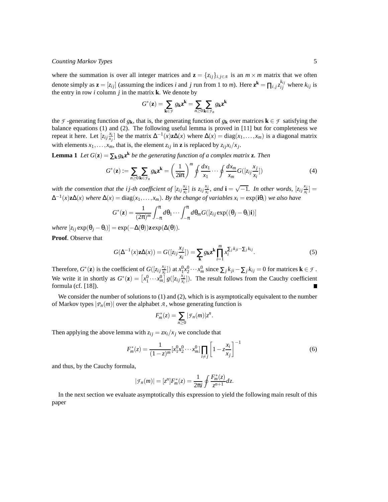where the summation is over all integer matrices and  $\mathbf{z} = \{z_{ij}\}_{i,j \in \mathcal{A}}$  is an  $m \times m$  matrix that we often denote simply as  $\mathbf{z} = [z_{ij}]$  (assuming the indices *i* and *j* run from 1 to *m*). Here  $\mathbf{z}^{\mathbf{k}} = \prod_{i,j} z_{ij}^{k_{ij}}$  where  $k_{ij}$  is the entry in row  $i$  column  $j$  in the matrix  $\bf{k}$ . We denote by

$$
G^*(\mathbf{z}) = \sum_{\mathbf{k} \in \mathcal{F}} g_{\mathbf{k}} \mathbf{z}^{\mathbf{k}} = \sum_{n \geq 0} \sum_{\mathbf{k} \in \mathcal{F}_n} g_{\mathbf{k}} \mathbf{z}^{\mathbf{k}}
$$

the *F* -generating function of  $g_k$ , that is, the generating function of  $g_k$  over matrices  $k \in \mathcal{F}$  satisfying the balance equations (1) and (2). The following useful lemma is proved in [11] but for completeness we repeat it here. Let  $[z_i, \frac{x_i}{x_j}]$  be the matrix  $\Delta^{-1}(x)z\Delta(x)$  where  $\Delta(x) = \text{diag}(x_1, \ldots, x_m)$  is a diagonal matrix with elements  $x_1, \ldots, x_m$ , that is, the element  $z_{ij}$  in **z** is replaced by  $z_{ij}x_i/x_j$ .

**Lemma 1** *Let*  $G(\mathbf{z}) = \sum_{\mathbf{k}} g_{\mathbf{k}} \mathbf{z}^{\mathbf{k}}$  *be the generating function of a complex matrix* **z***. Then* 

$$
G^*(\mathbf{z}) := \sum_{n \ge 0} \sum_{\mathbf{k} \in \mathcal{F}_n} g_{\mathbf{k}} \mathbf{z}^{\mathbf{k}} = \left(\frac{1}{2\mathbf{i}\pi}\right)^m \oint \frac{dx_1}{x_1} \cdots \oint \frac{dx_m}{x_m} G([\mathbf{z}_{ij}\frac{x_j}{x_i}])
$$
(4)

with the convention that the *i j*-th coefficient of  $\left[ z_{ij} \frac{x_j}{x_i} \right]$  $\left[\frac{x_j}{x_i}\right]$  *is*  $z_{ij} \frac{x_j}{x_i}$  $\frac{x_j}{x_i}$ , and **i** =  $\sqrt{-1}$ *.* In other words,  $\left[z_{ij}\frac{x_j}{x_i}\right]$  $\frac{x_j}{x_i}$ ]  $=$  $\Delta^{-1}(x)$ **z**∆(*x*) *where*  $\Delta(x) = \text{diag}(x_1, \ldots, x_m)$ *. By the change of variables*  $x_i = \exp(i\theta_i)$  *we also have* 

$$
G^*(\mathbf{z}) = \frac{1}{(2\pi)^m} \int_{-\pi}^{\pi} d\theta_1 \cdots \int_{-\pi}^{\pi} d\theta_m G([\mathbf{z}_{ij} \exp((\theta_j - \theta_i)\mathbf{i})])
$$

 $where \left[ z_{ij} \exp(\theta_j - \theta_i) \right] = \exp(-\Delta(\theta)) \mathbf{z} \exp(\Delta(\theta)).$ 

**Proof**. Observe that

$$
G(\Delta^{-1}(x)\mathbf{z}\Delta(x)) = G([z_{ij}\frac{x_j}{x_i}]) = \sum_{\mathbf{k}} g_{\mathbf{k}} \mathbf{z}^{\mathbf{k}} \prod_{i=1}^{m} x_i^{\sum_j k_{ji} - \sum_j k_{ij}}.
$$
 (5)

Therefore,  $G^*(z)$  is the coefficient of  $G([z_{ij}]$   $\frac{x_j}{x_i}$  $\left(\frac{x_j}{x_i}\right]$ ) at  $x_1^0 x_2^0 \cdots x_m^0$  since  $\sum_j k_{ji} - \sum_j k_{ij} = 0$  for matrices **k**  $\in \mathcal{F}$ . We write it in shortly as  $G^*(\mathbf{z}) = \left[x_1^0 \cdots x_m^0\right] g\left(\left[z_i\right] \frac{x_j}{x_i}\right)$  $\frac{x_i}{x_i}$ ]). The result follows from the Cauchy coefficient formula (cf. [18]).

We consider the number of solutions to  $(1)$  and  $(2)$ , which is is asymptotically equivalent to the number of Markov types  $|P_n(m)|$  over the alphabet *A*, whose generating function is

$$
F_m^*(z) = \sum_{n\geq 0} |\mathcal{F}_n(m)| z^n.
$$

Then applying the above lemma with  $z_{ij} = zx_i/x_j$  we conclude that

$$
F_m^*(z) = \frac{1}{(1-z)^m} [x_1^0 x_2^0 \cdots x_m^0] \prod_{i \neq j} \left[ 1 - z \frac{x_i}{x_j} \right]^{-1}
$$
(6)

and thus, by the Cauchy formula,

$$
|\mathcal{F}_n(m)| = [z^n]F_m^*(z) = \frac{1}{2\pi i} \oint \frac{F_m^*(z)}{z^{n+1}} dz.
$$

In the next section we evaluate asymptotically this expression to yield the following main result of this paper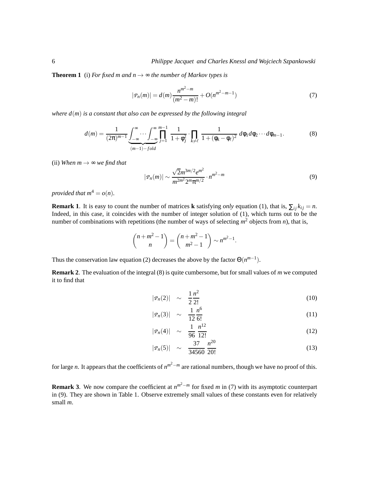**Theorem 1** (i) *For fixed m and n*  $\rightarrow \infty$  *the number of Markov types is* 

$$
|P_n(m)| = d(m)\frac{n^{m^2 - m}}{(m^2 - m)!} + O(n^{m^2 - m - 1})
$$
\n(7)

*where d*(*m*) *is a constant that also can be expressed by the following integral*

$$
d(m) = \frac{1}{(2\pi)^{m-1}} \underbrace{\int_{-\infty}^{\infty} \cdots \int_{-\infty}^{\infty} \prod_{j=1}^{m-1} \frac{1}{1 + \phi_j^2} \cdot \prod_{k \neq \ell} \frac{1}{1 + (\phi_k - \phi_\ell)^2} d\phi_1 d\phi_2 \cdots d\phi_{m-1}}_{(m-1) - fold}.
$$
 (8)

(ii) *When*  $m \rightarrow \infty$  *we find that* 

$$
|P_n(m)| \sim \frac{\sqrt{2}m^{3m/2}e^{m^2}}{m^{2m^2}2^m\pi^{m/2}} \cdot n^{m^2-m}
$$
 (9)

*provided that*  $m^4 = o(n)$ *.* 

**Remark 1**. It is easy to count the number of matrices **k** satisfying *only* equation (1), that is,  $\sum_{i} k_{ij} = n$ . Indeed, in this case, it coincides with the number of integer solution of (1), which turns out to be the number of combinations with repetitions (the number of ways of selecting  $m^2$  objects from *n*), that is,

$$
\binom{n+m^2-1}{n} = \binom{n+m^2-1}{m^2-1} \sim n^{m^2-1}.
$$

Thus the conservation law equation (2) decreases the above by the factor  $\Theta(n^{m-1})$ .

**Remark 2**. The evaluation of the integral (8) is quite cumbersome, but for small values of *m* we computed it to find that

$$
|P_n(2)| \sim \frac{1}{2} \frac{n^2}{2!} \tag{10}
$$

$$
|P_n(3)| \sim \frac{1}{12} \frac{n^6}{6!} \tag{11}
$$

$$
|P_n(4)| \sim \frac{1}{96} \frac{n^{12}}{12!} \tag{12}
$$

$$
|P_n(5)| \sim \frac{37}{34560} \frac{n^{20}}{20!} \tag{13}
$$

for large *n*. It appears that the coefficients of  $n^{m^2-m}$  are rational numbers, though we have no proof of this.

**Remark 3**. We now compare the coefficient at  $n^{m^2-m}$  for fixed *m* in (7) with its asymptotic counterpart in (9). They are shown in Table 1. Observe extremely small values of these constants even for relatively small *m*.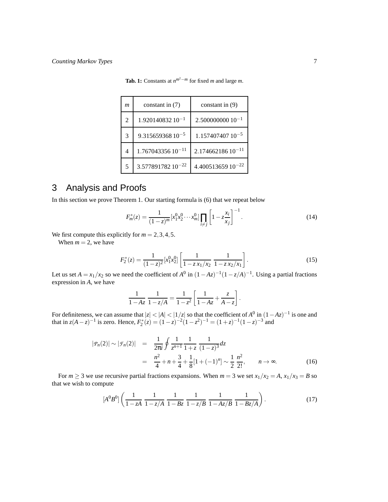| m  | constant in (7)               | constant in $(9)$     |
|----|-------------------------------|-----------------------|
| 2  | $1.92014083210^{-1}$          | $2.500000000010^{-1}$ |
| 3  | $9.31565936810^{-5}$          | $1.15740740710^{-5}$  |
| 4  | $1.76704335610^{-11}$         | $2.17466218610^{-11}$ |
| 5. | 3.577891782 10 <sup>-22</sup> | $4.40051365910^{-22}$ |

**Tab. 1:** Constants at  $n^{m^2 - m}$  for fixed *m* and large *m*.

## 3 Analysis and Proofs

In this section we prove Theorem 1. Our starting formula is (6) that we repeat below

$$
F_m^*(z) = \frac{1}{(1-z)^m} [x_1^0 x_2^0 \cdots x_m^0] \prod_{i \neq j} \left[ 1 - z \frac{x_i}{x_j} \right]^{-1} . \tag{14}
$$

We first compute this explicitly for  $m = 2, 3, 4, 5$ .

When  $m = 2$ , we have

$$
F_2^*(z) = \frac{1}{(1-z)^2} [x_1^0 x_2^0] \left[ \frac{1}{1-z x_1/x_2} \frac{1}{1-z x_2/x_1} \right].
$$
 (15)

Let us set  $A = x_1/x_2$  so we need the coefficient of  $A^0$  in  $(1 - Az)^{-1}(1 - z/A)^{-1}$ . Using a partial fractions expression in *A*, we have

$$
\frac{1}{1 - Az} \frac{1}{1 - z/A} = \frac{1}{1 - z^2} \left[ \frac{1}{1 - Az} + \frac{z}{A - z} \right].
$$

For definiteness, we can assume that  $|z| < |A| < |1/z|$  so that the coefficient of  $A^0$  in  $(1-Az)^{-1}$  is one and that in  $z(A-z)^{-1}$  is zero. Hence,  $F_2^*(z) = (1-z)^{-2}(1-z^2)^{-1} = (1+z)^{-1}(1-z)^{-3}$  and

$$
|P_n(2)| \sim |\mathcal{F}_n(2)| = \frac{1}{2\pi i} \oint \frac{1}{z^{n+1}} \frac{1}{1+z} \frac{1}{(1-z)^3} dz
$$
  

$$
= \frac{n^2}{4} + n + \frac{3}{4} + \frac{1}{8} [1 + (-1)^n] \sim \frac{1}{2} \frac{n^2}{2!}, \qquad n \to \infty.
$$
 (16)

For  $m \ge 3$  we use recursive partial fractions expansions. When  $m = 3$  we set  $x_1/x_2 = A$ ,  $x_1/x_3 = B$  so that we wish to compute

$$
[A^{0}B^{0}]\left(\frac{1}{1-zA}\frac{1}{1-z/A}\frac{1}{1-Bz}\frac{1}{1-z/B}\frac{1}{1-Az/B}\frac{1}{1-Bz/A}\right).
$$
 (17)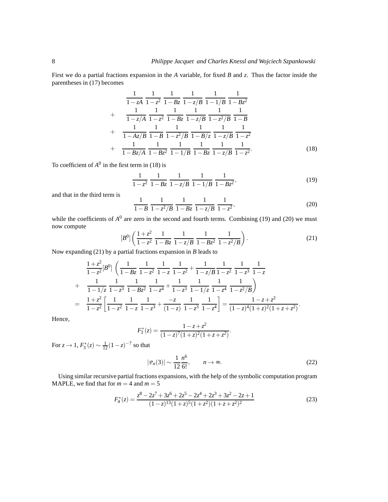First we do a partial fractions expansion in the *A* variable, for fixed *B* and *z*. Thus the factor inside the parentheses in (17) becomes

$$
\frac{1}{1-zA} \frac{1}{1-z^2} \frac{1}{1-Bz} \frac{1}{1-z/B} \frac{1}{1-1/B} \frac{1}{1-Bz^2} + \frac{1}{1-z/A} \frac{1}{1-z^2} \frac{1}{1-Bz} \frac{1}{1-z/B} \frac{1}{1-z^2/B} \frac{1}{1-z^2/B} \frac{1}{1-B} + \frac{1}{1-Az/B} \frac{1}{1-B} \frac{1}{1-z^2/B} \frac{1}{1-B/z} \frac{1}{1-z/B} \frac{1}{1-z^2} + \frac{1}{1-Bz/A} \frac{1}{1-Bz^2} \frac{1}{1-1/B} \frac{1}{1-Bz} \frac{1}{1-z/B} \frac{1}{1-z^2}.
$$
(18)

To coefficient of  $A^0$  in the first term in (18) is

$$
\frac{1}{1-z^2} \frac{1}{1-Bz} \frac{1}{1-z/B} \frac{1}{1-1/B} \frac{1}{1-Bz^2},
$$
\n(19)

and that in the third term is

$$
\frac{1}{1-B} \frac{1}{1-z^2/B} \frac{1}{1-Bz} \frac{1}{1-z/B} \frac{1}{1-z^2},
$$
(20)

while the coefficients of  $A^0$  are zero in the second and fourth terms. Combining (19) and (20) we must now compute

$$
[B0]\left(\frac{1+z^2}{1-z^2}\frac{1}{1-Bz}\frac{1}{1-z/B}\frac{1}{1-Bz^2}\frac{1}{1-z^2/B}\right).
$$
 (21)

Now expanding (21) by a partial fractions expansion in *B* leads to

$$
\frac{1+z^2}{1-z^2}[B^0] \left( \frac{1}{1-Bz} \frac{1}{1-z^2} \frac{1}{1-z} + \frac{1}{1-z/b} \frac{1}{1-z^2} \frac{1}{1-z^3} \frac{1}{1-z}
$$
\n+ 
$$
\frac{1}{1-1/z} \frac{1}{1-z^3} \frac{1}{1-Bz^2} \frac{1}{1-z^4} + \frac{1}{1-z^3} \frac{1}{1-1/z} \frac{1}{1-z^4} \frac{1}{1-z^2/B} \right)
$$
\n= 
$$
\frac{1+z^2}{1-z^2} \left[ \frac{1}{1-z^2} \frac{1}{1-z} \frac{1}{1-z^3} + \frac{-z}{(1-z)} \frac{1}{1-z^3} \frac{1}{1-z^4} \right] = \frac{1-z+z^2}{(1-z)^4(1+z)^2(1+z+z^2)}.
$$

Hence,

$$
F_3^*(z) = \frac{1 - z + z^2}{(1 - z)^7 (1 + z)^2 (1 + z + z^2)}.
$$

For  $z \to 1$ ,  $F_3^*(z) \sim \frac{1}{12}(1-z)^{-7}$  so that

$$
|P_n(3)| \sim \frac{1}{12} \frac{n^6}{6!}, \qquad n \to \infty.
$$
 (22)

Using similar recursive partial fractions expansions, with the help of the symbolic computation program MAPLE, we find that for  $m = 4$  and  $m = 5$ 

$$
F_4^*(z) = \frac{z^8 - 2z^7 + 3z^6 + 2z^5 - 2z^4 + 2z^3 + 3z^2 - 2z + 1}{(1 - z)^{13}(1 + z)^5(1 + z^2)(1 + z + z^2)^2}
$$
(23)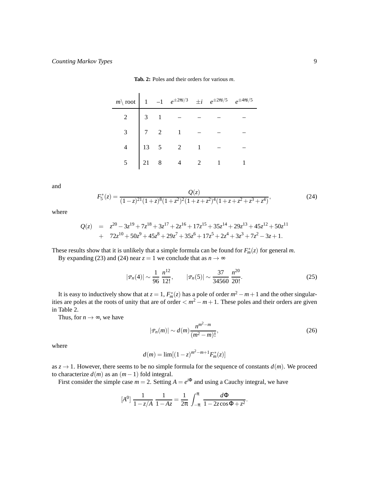| $m \setminus \text{root}$ 1 -1 $e^{\pm 2\pi i/3}$ $\pm i$ $e^{\pm 2\pi i/5}$ $e^{\pm 4\pi i/5}$ |  |                                                                                                                          |  |  |
|-------------------------------------------------------------------------------------------------|--|--------------------------------------------------------------------------------------------------------------------------|--|--|
|                                                                                                 |  | $\begin{array}{c cccc}\n2 & 3 & 1 & - & - \\ 3 & 7 & 2 & 1 & - \\ 4 & 13 & 5 & 2 & 1 \\ 5 & 21 & 8 & 4 & 2\n\end{array}$ |  |  |
|                                                                                                 |  |                                                                                                                          |  |  |
|                                                                                                 |  |                                                                                                                          |  |  |
|                                                                                                 |  |                                                                                                                          |  |  |

and

$$
F_5^*(z) = \frac{Q(z)}{(1-z)^{21}(1+z)^8(1+z^2)^2(1+z+z^2)^4(1+z+z^2+z^3+z^4)},
$$
\n(24)

where

$$
Q(z) = z20 - 3z19 + 7z18 + 3z17 + 2z16 + 17z15 + 35z14 + 29z13 + 45z12 + 50z11 + 72z10 + 50z9 + 45z8 + 29z7 + 35z6 + 17z5 + 2z4 + 3z3 + 7z2 - 3z + 1.
$$

These results show that it is unlikely that a simple formula can be found for  $F_m^*(z)$  for general *m*.

By expanding (23) and (24) near  $z = 1$  we conclude that as  $n \to \infty$ 

$$
|P_n(4)| \sim \frac{1}{96} \frac{n^{12}}{12!}, \qquad |P_n(5)| \sim \frac{37}{34560} \frac{n^{20}}{20!}.
$$
 (25)

It is easy to inductively show that at  $z = 1$ ,  $F_m^*(z)$  has a pole of order  $m^2 - m + 1$  and the other singularities are poles at the roots of unity that are of order  $\langle m^2 - m + 1 \rangle$ . These poles and their orders are given in Table 2.

Thus, for  $n \to \infty$ , we have

$$
|P_n(m)| \sim d(m) \frac{n^{m^2 - m}}{(m^2 - m)!},
$$
\n(26)

where

$$
d(m) = \lim[(1-z)^{m^2 - m + 1} F_m^*(z)]
$$

as  $z \to 1$ . However, there seems to be no simple formula for the sequence of constants  $d(m)$ . We proceed to characterize  $d(m)$  as an  $(m-1)$  fold integral.

First consider the simple case  $m = 2$ . Setting  $A = e^{i\Phi}$  and using a Cauchy integral, we have

$$
[A^{0}] \frac{1}{1 - z/A} \frac{1}{1 - Az} = \frac{1}{2\pi} \int_{-\pi}^{\pi} \frac{d\Phi}{1 - 2z\cos\Phi + z^{2}}.
$$

**Tab. 2:** Poles and their orders for various *m*.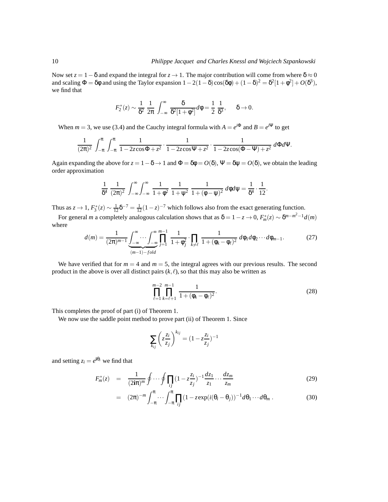Now set  $z = 1 - \delta$  and expand the integral for  $z \to 1$ . The major contribution will come from where  $\delta \approx 0$ and scaling  $\Phi = \delta\phi$  and using the Taylor expansion  $1 - 2(1 - \delta)\cos(\delta\phi) + (1 - \delta)^2 = \delta^2[1 + \phi^2] + O(\delta^3)$ , we find that

$$
F_2^*(z) \sim \frac{1}{\delta^2} \frac{1}{2\pi} \int_{-\infty}^{\infty} \frac{\delta}{\delta^2 [1 + \phi^2]} d\phi = \frac{1}{2} \frac{1}{\delta^3}, \quad \delta \to 0.
$$

When  $m = 3$ , we use (3.4) and the Cauchy integral formula with  $A = e^{i\Phi}$  and  $B = e^{i\Psi}$  to get

$$
\frac{1}{(2\pi)^2} \, \int_{-\pi}^\pi \, \int_{-\pi}^\pi \, \frac{1}{1-2z\text{cos}\Phi + z^2} \cdot \frac{1}{1-2z\text{cos}\Psi + z^2} \cdot \frac{1}{1-2z\text{cos}(\Phi-\Psi)+z^2} \, d\Phi d\Psi.
$$

Again expanding the above for  $z = 1 - \delta \rightarrow 1$  and  $\Phi = \delta \phi = O(\delta)$ ,  $\Psi = \delta \psi = O(\delta)$ , we obtain the leading order approximation

$$
\frac{1}{\delta^4} \frac{1}{(2\pi)^2} \int_{-\infty}^{\infty} \int_{-\infty}^{\infty} \frac{1}{1+\phi^2} \frac{1}{1+\psi^2} \frac{1}{1+(\phi-\psi)^2} d\phi d\psi = \frac{1}{\delta^4} \cdot \frac{1}{12}.
$$

Thus as  $z \to 1$ ,  $F_3^*(z) \sim \frac{1}{12} \delta^{-7} = \frac{1}{12} (1 - z)^{-7}$  which follows also from the exact generating function.

For general *m* a completely analogous calculation shows that as  $\delta = 1 - z \to 0$ ,  $F_m^*(z) \sim \delta^{m-m^2-1}d(m)$ where

$$
d(m) = \frac{1}{(2\pi)^{m-1}} \underbrace{\int_{-\infty}^{\infty} \cdots \int_{-\infty}^{\infty} \prod_{j=1}^{m-1} \frac{1}{1 + \phi_j^2} \cdot \prod_{k \neq \ell} \frac{1}{1 + (\phi_k - \phi_\ell)^2} d\phi_1 d\phi_2 \cdots d\phi_{m-1}}_{(m-1) - fold}.
$$
 (27)

We have verified that for  $m = 4$  and  $m = 5$ , the integral agrees with our previous results. The second product in the above is over all distinct pairs  $(k, \ell)$ , so that this may also be written as

$$
\prod_{\ell=1}^{m-2} \prod_{k=\ell+1}^{m-1} \frac{1}{1 + (\phi_k - \phi_\ell)^2}.
$$
 (28)

This completes the proof of part (i) of Theorem 1.

We now use the saddle point method to prove part (ii) of Theorem 1. Since

$$
\sum_{k_{ij}} \left( z \frac{z_i}{z_j} \right)^{k_{ij}} = (1 - z \frac{z_i}{z_j})^{-1}
$$

and setting  $z_i = e^{i\theta_i}$  we find that

$$
F_m^*(z) = \frac{1}{(2i\pi)^m} \oint \cdots \oint \prod_{ij} (1 - z \frac{z_i}{z_j})^{-1} \frac{dz_1}{z_1} \cdots \frac{dz_m}{z_m} \tag{29}
$$

$$
= (2\pi)^{-m} \int_{-\pi}^{\pi} \cdots \int_{-\pi}^{\pi} \prod_{ij} (1 - z \exp(i(\theta_i - \theta_j)))^{-1} d\theta_1 \cdots d\theta_m.
$$
 (30)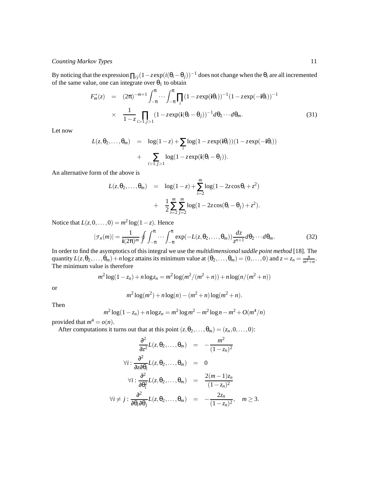By noticing that the expression  $\prod_{ij} (1 - z \exp(i(\theta_i - \theta_j)))^{-1}$  does not change when the  $\theta_i$  are all incremented of the same value, one can integrate over  $\theta_1$  to obtain

$$
F_m^*(z) = (2\pi)^{-m+1} \int_{-\pi}^{\pi} \cdots \int_{-\pi}^{\pi} \prod_i (1 - z \exp(i\theta_i))^{-1} (1 - z \exp(-i\theta_i))^{-1}
$$
  
 
$$
\times \frac{1}{1 - z} \prod_{i > 1, j > 1} (1 - z \exp(i(\theta_i - \theta_j)))^{-1} d\theta_2 \cdots d\theta_m.
$$
 (31)

Let now

$$
L(z, \theta_2, ..., \theta_m) = \log(1-z) + \sum_i \log(1-z \exp(i\theta_i))(1-z \exp(-i\theta_i)) + \sum_{i>1, j>1} \log(1-z \exp(i(\theta_i - \theta_j))).
$$

An alternative form of the above is

$$
L(z, \theta_2, ..., \theta_m) = \log(1-z) + \sum_{i=2}^{m} \log(1-2z\cos\theta_i + z^2) + \frac{1}{2} \sum_{i=2}^{m} \sum_{j=2}^{m} \log(1-2z\cos(\theta_i - \theta_j) + z^2).
$$

Notice that  $L(z,0,\ldots,0) = m^2 \log(1-z)$ . Hence

$$
|\mathcal{F}_n(m)| = \frac{1}{\mathbf{i}(2\pi)^m} \oint \int_{-\pi}^{\pi} \cdots \int_{-\pi}^{\pi} \exp(-L(z, \theta_2, \dots, \theta_m)) \frac{dz}{z^{n+1}} d\theta_2 \cdots d\theta_m.
$$
 (32)

In order to find the asymptotics of this integral we use the *multidimensional saddle point method* [18]. The quantity  $L(z, \theta_2, \dots, \theta_m) + n \log z$  attains its minimum value at  $(\theta_2, \dots, \theta_m) = (0, \dots, 0)$  and  $z = z_n = \frac{n}{m^2 + n}$ . The minimum value is therefore

$$
m^{2}\log(1-z_{n})+n\log z_{n}=m^{2}\log(m^{2}/(m^{2}+n))+n\log(n/(m^{2}+n))
$$

or

$$
m^2 \log(m^2) + n \log(n) - (m^2 + n) \log(m^2 + n).
$$

Then

$$
m^{2} \log(1 - z_{n}) + n \log z_{n} = m^{2} \log m^{2} - m^{2} \log n - m^{2} + O(m^{4}/n)
$$

provided that  $m^4 = o(n)$ .

After computations it turns out that at this point  $(z, \theta_2, ..., \theta_m) = (z_n, 0, ..., 0)$ :

$$
\frac{\partial^2}{\partial z^2} L(z, \theta_2, ..., \theta_m) = -\frac{m^2}{(1 - z_n)^2}
$$
\n
$$
\forall i: \frac{\partial^2}{\partial z \partial \theta_i} L(z, \theta_2, ..., \theta_m) = 0
$$
\n
$$
\forall i: \frac{\partial^2}{\partial \theta_i^2} L(z, \theta_2, ..., \theta_m) = \frac{2(m - 1)z_n}{(1 - z_n)^2}
$$
\n
$$
\forall i \neq j: \frac{\partial^2}{\partial \theta_i \partial \theta_j} L(z, \theta_2, ..., \theta_m) = -\frac{2z_n}{(1 - z_n)^2}, \quad m \geq 3.
$$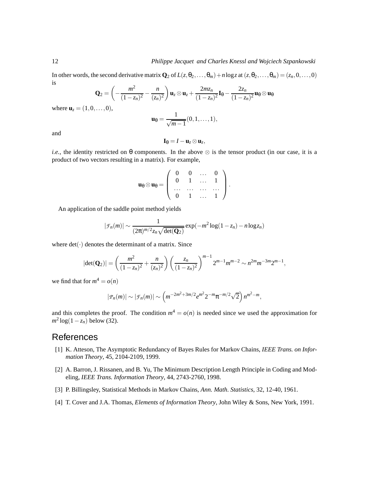In other words, the second derivative matrix  $\mathbf{Q}_2$  of  $L(z, \theta_2, \dots, \theta_m) + n \log z$  at  $(z, \theta_2, \dots, \theta_m) = (z_n, 0, \dots, 0)$ is

$$
\mathbf{Q}_2 = \left(-\frac{m^2}{(1-z_n)^2} - \frac{n}{(z_n)^2}\right)\mathbf{u}_z \otimes \mathbf{u}_z + \frac{2mz_n}{(1-z_n)^2}\mathbf{I}_{\theta} - \frac{2z_n}{(1-z_n)^2}\mathbf{u}_{\theta} \otimes \mathbf{u}_{\theta}
$$

where  $$ 

$$
\mathbf{u}_{\theta} = \frac{1}{\sqrt{m-1}}(0,1,\ldots,1),
$$

and

$$
\mathbf{I}_{\theta}=I-\mathbf{u}_{z}\otimes\mathbf{u}_{z},
$$

*i.e.*, the identity restricted on  $\theta$  components. In the above  $\otimes$  is the tensor product (in our case, it is a product of two vectors resulting in a matrix). For example,

$$
\textbf{u}_\theta\otimes\textbf{u}_\theta=\left(\begin{array}{cccc} 0 & 0 & \dots & 0 \\ 0 & 1 & \dots & 1 \\ \dots & \dots & \dots & \dots \\ 0 & 1 & \dots & 1 \end{array}\right).
$$

An application of the saddle point method yields

$$
|\mathcal{F}_n(m)| \sim \frac{1}{(2\pi)^{m/2}z_n\sqrt{\det(\mathbf{Q}_2)}}\exp(-m^2\log(1-z_n) - n\log z_n)
$$

where  $det(\cdot)$  denotes the determinant of a matrix. Since

$$
|\det(\mathbf{Q}_2)| = \left(\frac{m^2}{(1-z_n)^2} + \frac{n}{(z_n)^2}\right) \left(\frac{z_n}{(1-z_n)^2}\right)^{m-1} 2^{m-1} m^{m-2} \sim n^{2m} m^{-3m} 2^{m-1},
$$

we find that for  $m^4 = o(n)$ 

$$
|\mathcal{P}_n(m)| \sim |\mathcal{F}_n(m)| \sim \left(m^{-2m^2+3m/2} e^{m^2} 2^{-m} \pi^{-m/2} \sqrt{2}\right) n^{m^2-m},
$$

and this completes the proof. The condition  $m^4 = o(n)$  is needed since we used the approximation for *m* 2 log(1−*zn*) below (32).

#### References

- [1] K. Atteson, The Asymptotic Redundancy of Bayes Rules for Markov Chains, *IEEE Trans. on Information Theory*, 45, 2104-2109, 1999.
- [2] A. Barron, J. Rissanen, and B. Yu, The Minimum Description Length Principle in Coding and Modeling, *IEEE Trans. Information Theory*, 44, 2743-2760, 1998.
- [3] P. Billingsley, Statistical Methods in Markov Chains, *Ann. Math. Statistics*, 32, 12-40, 1961.
- [4] T. Cover and J.A. Thomas, *Elements of Information Theory*, John Wiley & Sons, New York, 1991.